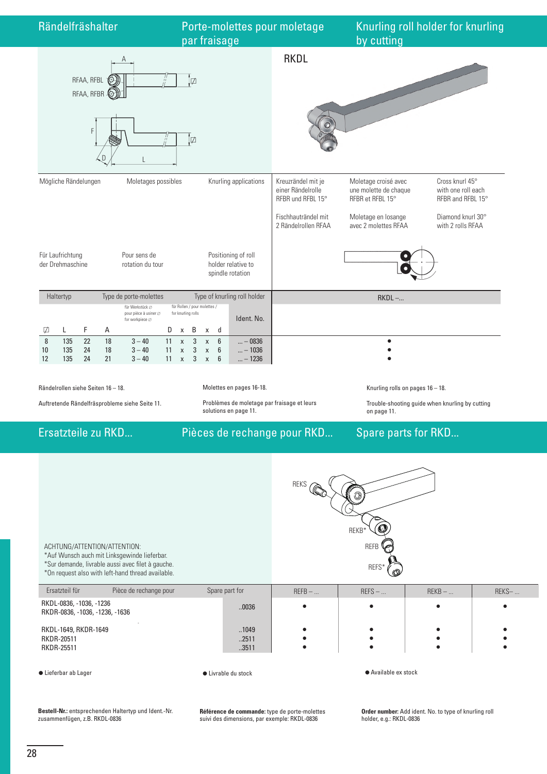

Auftretende Rändelfräsprobleme siehe Seite 11.

Problèmes de moletage par fraisage et leurs solutions en page 11.

Trouble-shooting guide when knurling by cutting on page 11.

Ersatzteile zu RKD... Pièces de rechange pour RKD... Spare parts for RKD...

| ACHTUNG/ATTENTION/ATTENTION:<br>*Auf Wunsch auch mit Linksgewinde lieferbar.<br>*Sur demande, livrable aussi avec filet à gauche.<br>*On request also with left-hand thread available. |                      | <b>REKS</b><br>REKB*<br><b>REFB</b><br>REFS*<br>ര |          |           |       |  |
|----------------------------------------------------------------------------------------------------------------------------------------------------------------------------------------|----------------------|---------------------------------------------------|----------|-----------|-------|--|
| Ersatzteil für<br>Pièce de rechange pour                                                                                                                                               | Spare part for       | $REFB$ -                                          | $REFS$ - | $REKB - $ | REKS- |  |
| RKDL-0836, -1036, -1236<br>RKDR-0836, -1036, -1236, -1636                                                                                                                              | .0036                |                                                   | ٠        |           |       |  |
| RKDL-1649, RKDR-1649<br><b>RKDR-20511</b><br><b>RKDR-25511</b>                                                                                                                         | 1049<br>2511<br>3511 |                                                   |          |           |       |  |
|                                                                                                                                                                                        |                      |                                                   |          |           |       |  |

● Lieferbar ab Lager 
→ Lieferbar ab Lager 
→ Lieferbar ab Lager

**Bestell-Nr.:** entsprechenden Haltertyp und Ident.-Nr. zusammenfügen, z.B. RKDL-0836

**Référence de commande:** type de porte-molettes suivi des dimensions, par exemple: RKDL-0836

**Order number:** Add ident. No. to type of knurling roll holder, e.g.: RKDL-0836